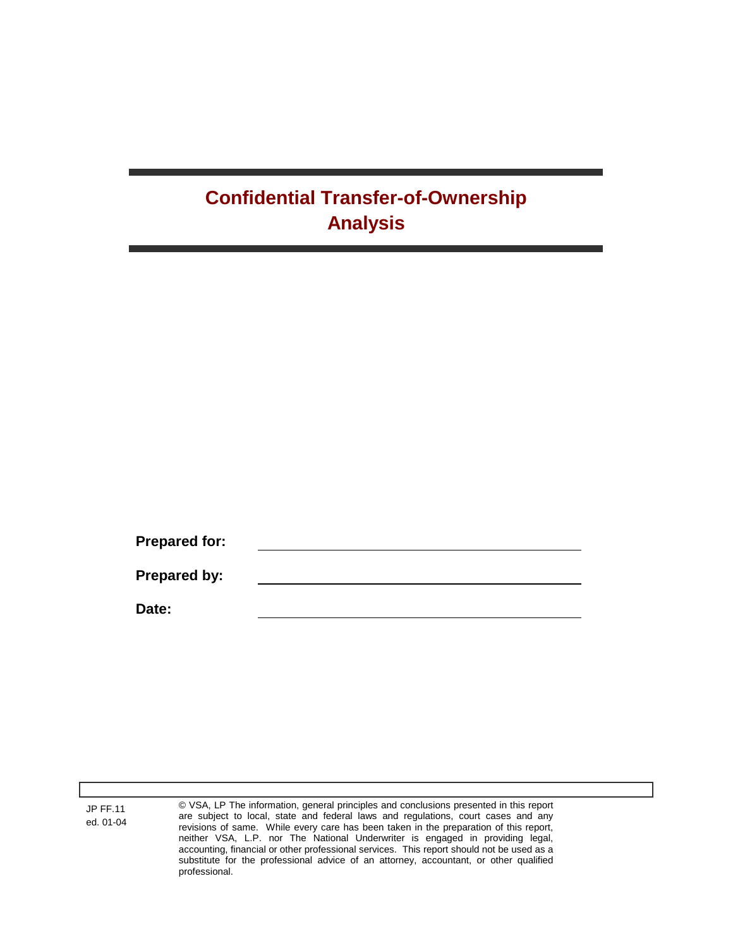## **Confidential Transfer-of-Ownership Analysis**

| <b>Prepared for:</b> |  |  |
|----------------------|--|--|
|                      |  |  |
| Prepared by:         |  |  |
|                      |  |  |
| Date:                |  |  |

JP FF.11 ed. 01-04 © VSA, LP The information, general principles and conclusions presented in this report are subject to local, state and federal laws and regulations, court cases and any revisions of same. While every care has been taken in the preparation of this report, neither VSA, L.P. nor The National Underwriter is engaged in providing legal, accounting, financial or other professional services. This report should not be used as a substitute for the professional advice of an attorney, accountant, or other qualified professional.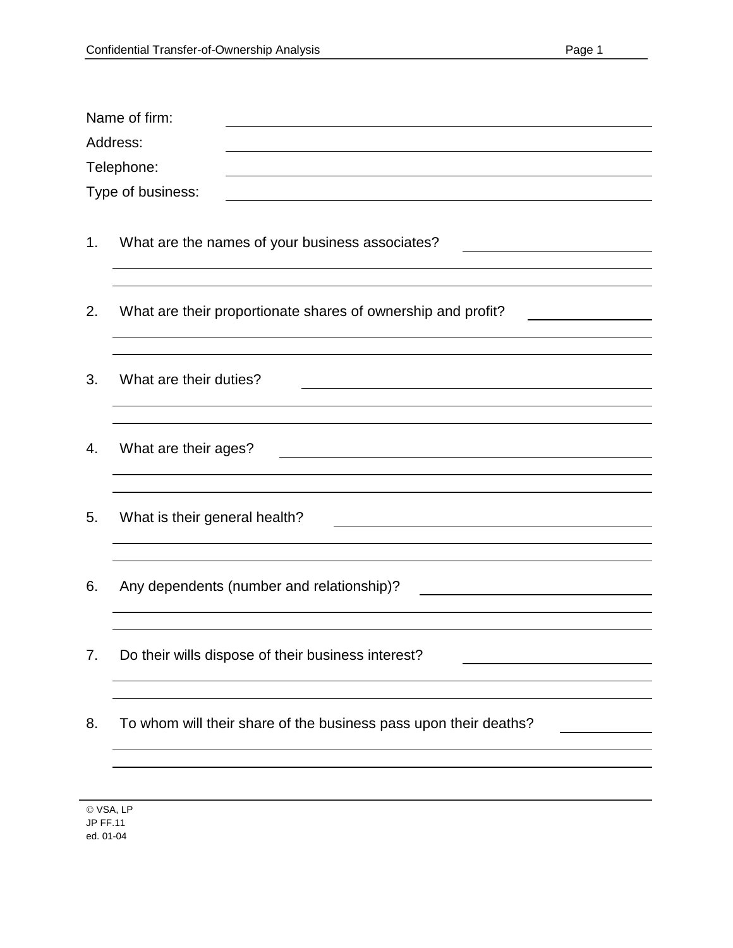|                                 | Name of firm:<br>Address:                                        |  |  |  |  |
|---------------------------------|------------------------------------------------------------------|--|--|--|--|
| Telephone:<br>Type of business: |                                                                  |  |  |  |  |
| 1.                              | What are the names of your business associates?                  |  |  |  |  |
| 2.                              | What are their proportionate shares of ownership and profit?     |  |  |  |  |
| 3.                              | What are their duties?                                           |  |  |  |  |
| 4.                              | What are their ages?                                             |  |  |  |  |
| 5.                              | What is their general health?                                    |  |  |  |  |
| 6.                              | Any dependents (number and relationship)?                        |  |  |  |  |
| 7.                              | Do their wills dispose of their business interest?               |  |  |  |  |
| 8.                              | To whom will their share of the business pass upon their deaths? |  |  |  |  |
|                                 |                                                                  |  |  |  |  |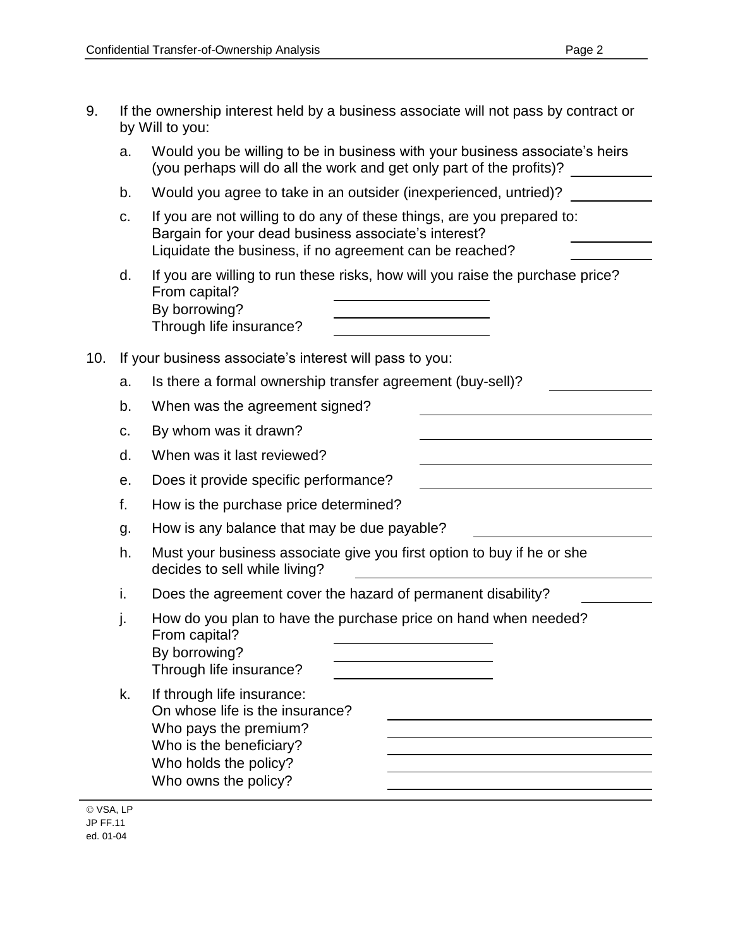| 9.  |                                                         | If the ownership interest held by a business associate will not pass by contract or<br>by Will to you:                                                                                    |  |  |  |
|-----|---------------------------------------------------------|-------------------------------------------------------------------------------------------------------------------------------------------------------------------------------------------|--|--|--|
|     | a.                                                      | Would you be willing to be in business with your business associate's heirs<br>(you perhaps will do all the work and get only part of the profits)?                                       |  |  |  |
|     | b.                                                      | Would you agree to take in an outsider (inexperienced, untried)?                                                                                                                          |  |  |  |
|     | C.                                                      | If you are not willing to do any of these things, are you prepared to:<br>Bargain for your dead business associate's interest?<br>Liquidate the business, if no agreement can be reached? |  |  |  |
|     | d.                                                      | If you are willing to run these risks, how will you raise the purchase price?<br>From capital?<br>By borrowing?<br>Through life insurance?                                                |  |  |  |
| 10. | If your business associate's interest will pass to you: |                                                                                                                                                                                           |  |  |  |
|     | a.                                                      | Is there a formal ownership transfer agreement (buy-sell)?                                                                                                                                |  |  |  |
|     | b.                                                      | When was the agreement signed?                                                                                                                                                            |  |  |  |
|     | C.                                                      | By whom was it drawn?                                                                                                                                                                     |  |  |  |
|     | d.                                                      | When was it last reviewed?                                                                                                                                                                |  |  |  |
|     | е.                                                      | Does it provide specific performance?                                                                                                                                                     |  |  |  |
|     | f.                                                      | How is the purchase price determined?                                                                                                                                                     |  |  |  |
|     | g.                                                      | How is any balance that may be due payable?                                                                                                                                               |  |  |  |
|     | h.                                                      | Must your business associate give you first option to buy if he or she<br>decides to sell while living?                                                                                   |  |  |  |
|     | i.                                                      | Does the agreement cover the hazard of permanent disability?                                                                                                                              |  |  |  |
|     | j.                                                      | How do you plan to have the purchase price on hand when needed?<br>From capital?<br>By borrowing?<br>Through life insurance?                                                              |  |  |  |
|     | k.                                                      | If through life insurance:<br>On whose life is the insurance?<br>Who pays the premium?<br>Who is the beneficiary?<br>Who holds the policy?<br>Who owns the policy?                        |  |  |  |

© VSA, LP JP FF.11 ed. 01-04